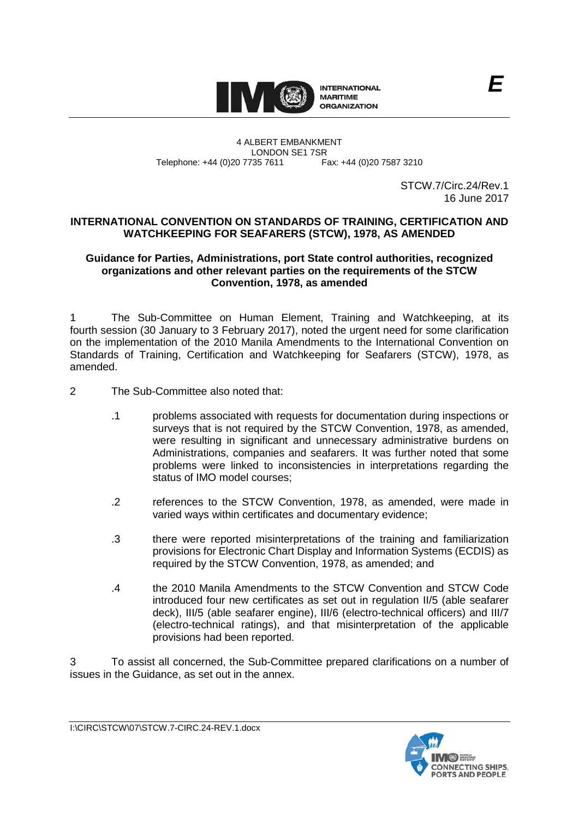

#### 4 ALBERT EMBANKMENT LONDON SE1 7SR Telephone: +44 (0)20 7735 7611

STCW.7/Circ.24/Rev.1 16 June 2017

# **INTERNATIONAL CONVENTION ON STANDARDS OF TRAINING, CERTIFICATION AND WATCHKEEPING FOR SEAFARERS (STCW), 1978, AS AMENDED**

## **Guidance for Parties, Administrations, port State control authorities, recognized organizations and other relevant parties on the requirements of the STCW Convention, 1978, as amended**

1 The Sub-Committee on Human Element, Training and Watchkeeping, at its fourth session (30 January to 3 February 2017), noted the urgent need for some clarification on the implementation of the 2010 Manila Amendments to the International Convention on Standards of Training, Certification and Watchkeeping for Seafarers (STCW), 1978, as amended.

- 2 The Sub-Committee also noted that:
	- .1 problems associated with requests for documentation during inspections or surveys that is not required by the STCW Convention, 1978, as amended, were resulting in significant and unnecessary administrative burdens on Administrations, companies and seafarers. It was further noted that some problems were linked to inconsistencies in interpretations regarding the status of IMO model courses;
	- .2 references to the STCW Convention, 1978, as amended, were made in varied ways within certificates and documentary evidence;
	- .3 there were reported misinterpretations of the training and familiarization provisions for Electronic Chart Display and Information Systems (ECDIS) as required by the STCW Convention, 1978, as amended; and
	- .4 the 2010 Manila Amendments to the STCW Convention and STCW Code introduced four new certificates as set out in regulation II/5 (able seafarer deck), III/5 (able seafarer engine), III/6 (electro-technical officers) and III/7 (electro-technical ratings), and that misinterpretation of the applicable provisions had been reported.

3 To assist all concerned, the Sub-Committee prepared clarifications on a number of issues in the Guidance, as set out in the annex.

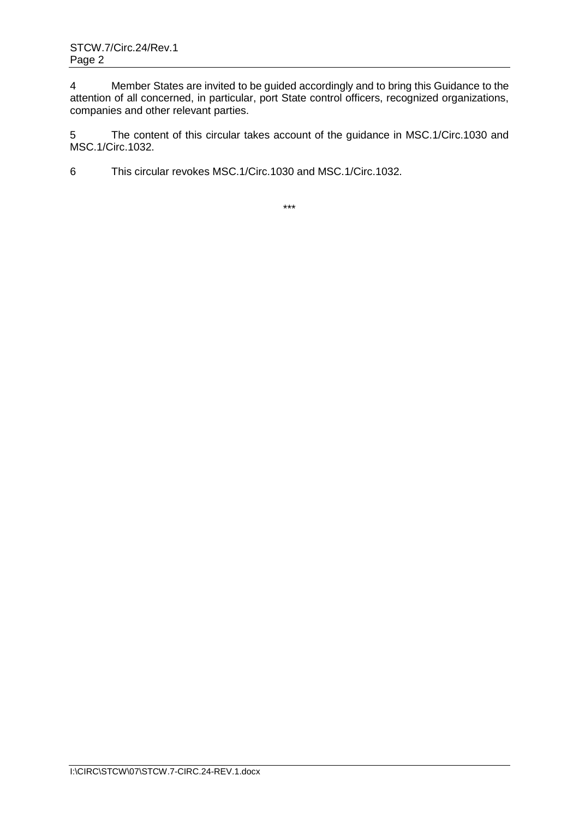4 Member States are invited to be guided accordingly and to bring this Guidance to the attention of all concerned, in particular, port State control officers, recognized organizations, companies and other relevant parties.

5 The content of this circular takes account of the guidance in MSC.1/Circ.1030 and MSC.1/Circ.1032.

6 This circular revokes MSC.1/Circ.1030 and MSC.1/Circ.1032.

\*\*\*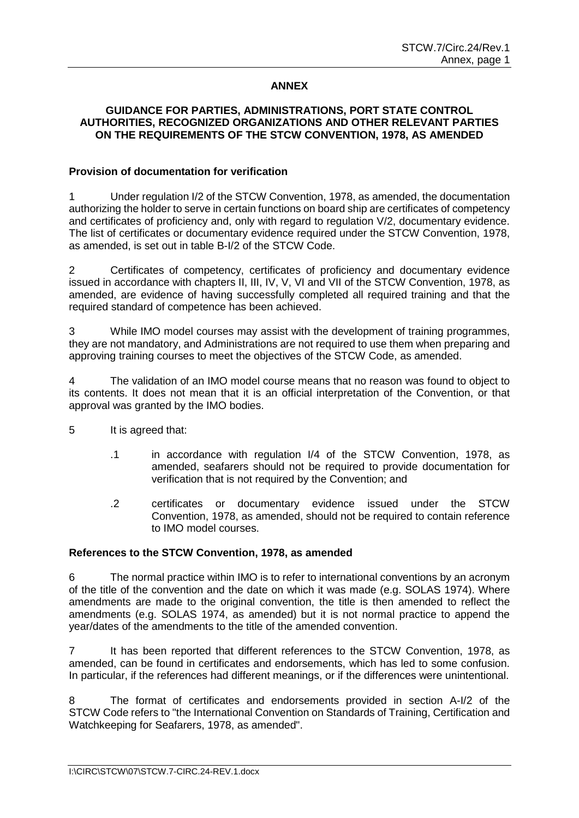# **ANNEX**

### **GUIDANCE FOR PARTIES, ADMINISTRATIONS, PORT STATE CONTROL AUTHORITIES, RECOGNIZED ORGANIZATIONS AND OTHER RELEVANT PARTIES ON THE REQUIREMENTS OF THE STCW CONVENTION, 1978, AS AMENDED**

#### **Provision of documentation for verification**

1 Under regulation I/2 of the STCW Convention, 1978, as amended, the documentation authorizing the holder to serve in certain functions on board ship are certificates of competency and certificates of proficiency and, only with regard to regulation V/2, documentary evidence. The list of certificates or documentary evidence required under the STCW Convention, 1978, as amended, is set out in table B-I/2 of the STCW Code.

2 Certificates of competency, certificates of proficiency and documentary evidence issued in accordance with chapters II, III, IV, V, VI and VII of the STCW Convention, 1978, as amended, are evidence of having successfully completed all required training and that the required standard of competence has been achieved.

3 While IMO model courses may assist with the development of training programmes, they are not mandatory, and Administrations are not required to use them when preparing and approving training courses to meet the objectives of the STCW Code, as amended.

4 The validation of an IMO model course means that no reason was found to object to its contents. It does not mean that it is an official interpretation of the Convention, or that approval was granted by the IMO bodies.

- 5 It is agreed that:
	- .1 in accordance with regulation I/4 of the STCW Convention, 1978, as amended, seafarers should not be required to provide documentation for verification that is not required by the Convention; and
	- .2 certificates or documentary evidence issued under the STCW Convention, 1978, as amended, should not be required to contain reference to IMO model courses.

# **References to the STCW Convention, 1978, as amended**

6 The normal practice within IMO is to refer to international conventions by an acronym of the title of the convention and the date on which it was made (e.g. SOLAS 1974). Where amendments are made to the original convention, the title is then amended to reflect the amendments (e.g. SOLAS 1974, as amended) but it is not normal practice to append the year/dates of the amendments to the title of the amended convention.

7 It has been reported that different references to the STCW Convention, 1978, as amended, can be found in certificates and endorsements, which has led to some confusion. In particular, if the references had different meanings, or if the differences were unintentional.

The format of certificates and endorsements provided in section A-I/2 of the STCW Code refers to "the International Convention on Standards of Training, Certification and Watchkeeping for Seafarers, 1978, as amended".